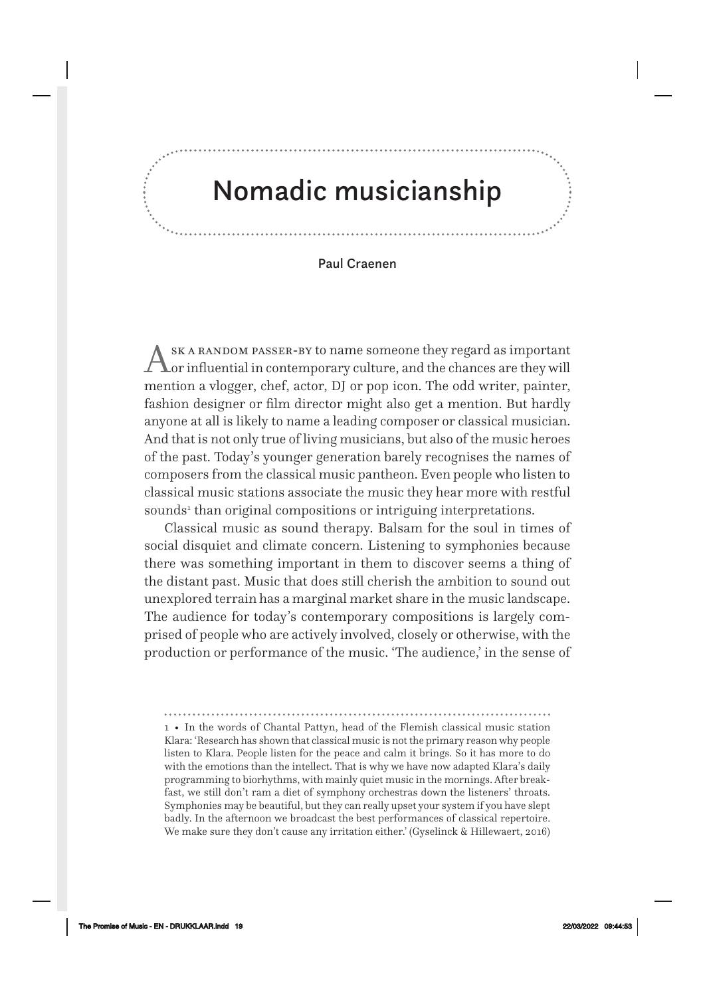# Nomadic musicianship

#### Paul Craenen

ASK A RANDOM PASSER-BY to name someone they regard as important<br>
or influential in contemporary culture, and the chances are they will mention a vlogger, chef, actor, DJ or pop icon. The odd writer, painter, fashion designer or film director might also get a mention. But hardly anyone at all is likely to name a leading composer or classical musician. And that is not only true of living musicians, but also of the music heroes of the past. Today's younger generation barely recognises the names of composers from the classical music pantheon. Even people who listen to classical music stations associate the music they hear more with restful sounds<sup>1</sup> than original compositions or intriguing interpretations.

Classical music as sound therapy. Balsam for the soul in times of social disquiet and climate concern. Listening to symphonies because there was something important in them to discover seems a thing of the distant past. Music that does still cherish the ambition to sound out unexplored terrain has a marginal market share in the music landscape. The audience for today's contemporary compositions is largely comprised of people who are actively involved, closely or otherwise, with the production or performance of the music. 'The audience,' in the sense of

1 • In the words of Chantal Pattyn, head of the Flemish classical music station Klara: 'Research has shown that classical music is not the primary reason why people listen to Klara. People listen for the peace and calm it brings. So it has more to do with the emotions than the intellect. That is why we have now adapted Klara's daily programming to biorhythms, with mainly quiet music in the mornings. After breakfast, we still don't ram a diet of symphony orchestras down the listeners' throats. Symphonies may be beautiful, but they can really upset your system if you have slept badly. In the afternoon we broadcast the best performances of classical repertoire. We make sure they don't cause any irritation either.' (Gyselinck & Hillewaert, 2016)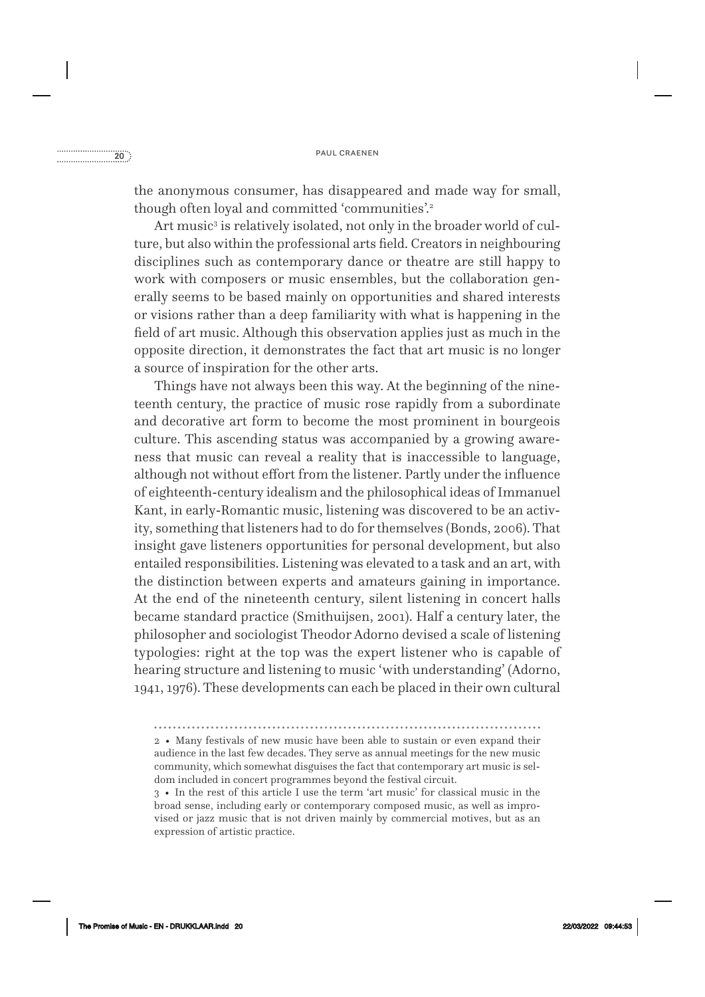the anonymous consumer, has disappeared and made way for small, though often loyal and committed 'communities'.<sup>2</sup>

Art music $^{\rm 3}$  is relatively isolated, not only in the broader world of culture, but also within the professional arts field. Creators in neighbouring disciplines such as contemporary dance or theatre are still happy to work with composers or music ensembles, but the collaboration generally seems to be based mainly on opportunities and shared interests or visions rather than a deep familiarity with what is happening in the field of art music. Although this observation applies just as much in the opposite direction, it demonstrates the fact that art music is no longer a source of inspiration for the other arts.

Things have not always been this way. At the beginning of the nineteenth century, the practice of music rose rapidly from a subordinate and decorative art form to become the most prominent in bourgeois culture. This ascending status was accompanied by a growing awareness that music can reveal a reality that is inaccessible to language, although not without effort from the listener. Partly under the influence of eighteenth- century idealism and the philosophical ideas of Immanuel Kant, in early- Romantic music, listening was discovered to be an activity, something that listeners had to do for themselves (Bonds, 2006). That insight gave listeners opportunities for personal development, but also entailed responsibilities. Listening was elevated to a task and an art, with the distinction between experts and amateurs gaining in importance. At the end of the nineteenth century, silent listening in concert halls became standard practice (Smithuijsen, 2001). Half a century later, the philosopher and sociologist Theodor Adorno devised a scale of listening typologies: right at the top was the expert listener who is capable of hearing structure and listening to music 'with understanding' (Adorno, 1941, 1976). These developments can each be placed in their own cultural

<sup>2 •</sup> Many festivals of new music have been able to sustain or even expand their audience in the last few decades. They serve as annual meetings for the new music community, which somewhat disguises the fact that contemporary art music is seldom included in concert programmes beyond the festival circuit.

<sup>3 •</sup> In the rest of this article I use the term 'art music' for classical music in the broad sense, including early or contemporary composed music, as well as improvised or jazz music that is not driven mainly by commercial motives, but as an expression of artistic practice.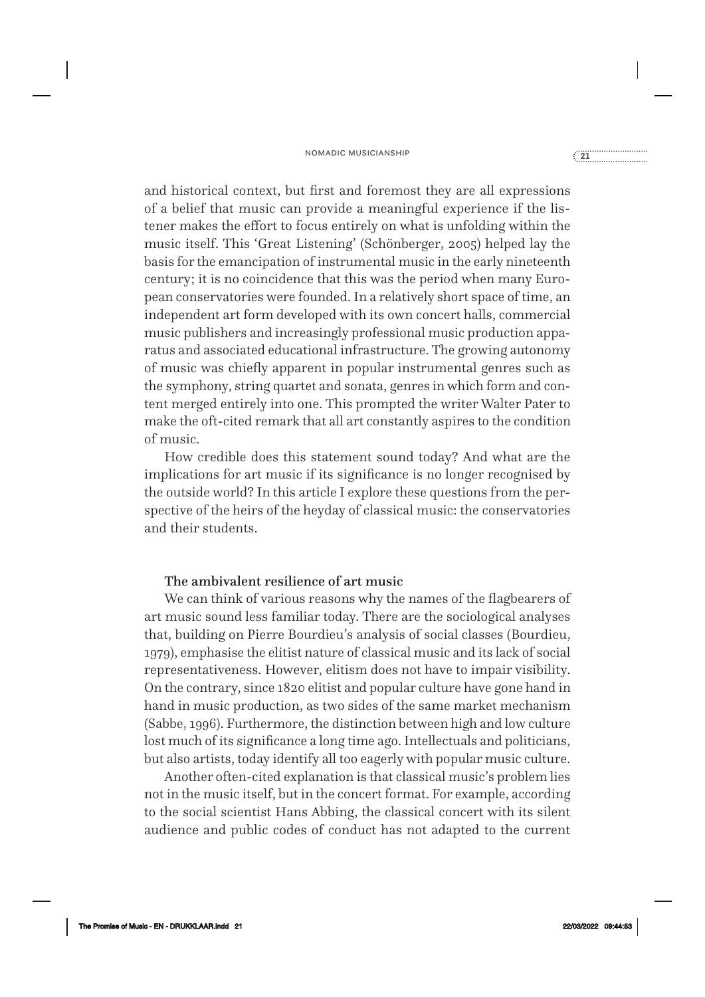#### nomadic musicianship<br>
21<sub>1111111111111111111111111111111</sub>

and historical context, but first and foremost they are all expressions of a belief that music can provide a meaningful experience if the listener makes the effort to focus entirely on what is unfolding within the music itself. This 'Great Listening' (Schönberger, 2005) helped lay the basis for the emancipation of instrumental music in the early nineteenth century; it is no coincidence that this was the period when many European conservatories were founded. In a relatively short space of time, an independent art form developed with its own concert halls, commercial music publishers and increasingly professional music production apparatus and associated educational infrastructure. The growing autonomy of music was chiefly apparent in popular instrumental genres such as the symphony, string quartet and sonata, genres in which form and content merged entirely into one. This prompted the writer Walter Pater to make the oft-cited remark that all art constantly aspires to the condition of music.

How credible does this statement sound today? And what are the implications for art music if its significance is no longer recognised by the outside world? In this article I explore these questions from the perspective of the heirs of the heyday of classical music: the conservatories and their students.

#### The ambivalent resilience of art music

We can think of various reasons why the names of the flagbearers of art music sound less familiar today. There are the sociological analyses that, building on Pierre Bourdieu's analysis of social classes (Bourdieu, 1979), emphasise the elitist nature of classical music and its lack of social representativeness. However, elitism does not have to impair visibility. On the contrary, since 1820 elitist and popular culture have gone hand in hand in music production, as two sides of the same market mechanism (Sabbe, 1996). Furthermore, the distinction between high and low culture lost much of its significance a long time ago. Intellectuals and politicians, but also artists, today identify all too eagerly with popular music culture.

Another often- cited explanation is that classical music's problem lies not in the music itself, but in the concert format. For example, according to the social scientist Hans Abbing, the classical concert with its silent audience and public codes of conduct has not adapted to the current

The Promise of Music - EN - DRUKKLAAR.indd 21 22/03/2022 09:44:53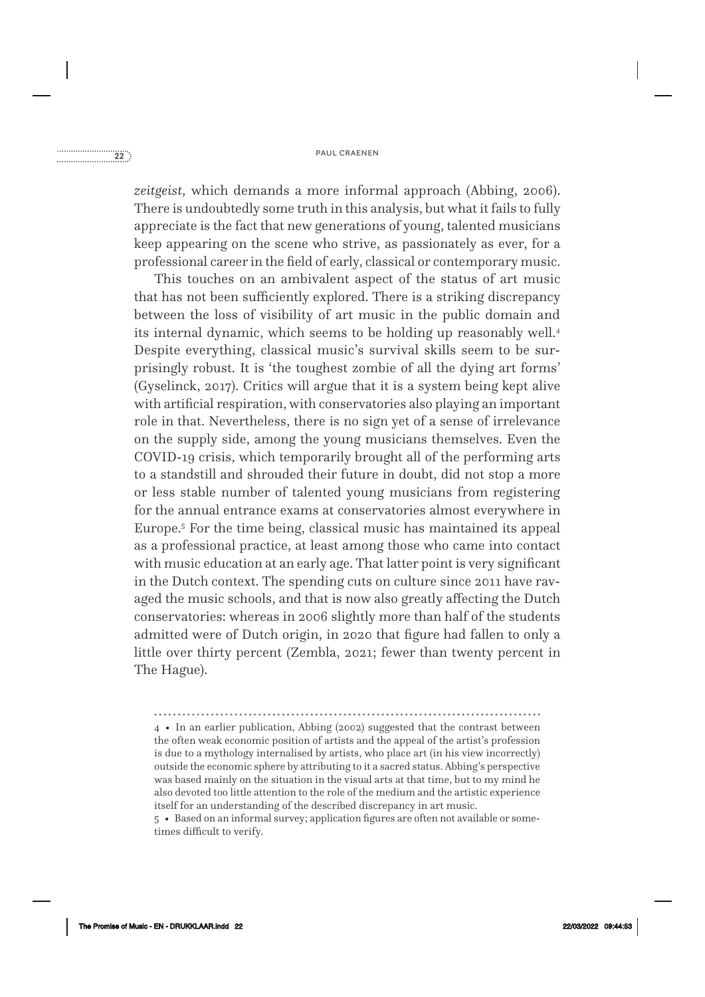*zeitgeist,* which demands a more informal approach (Abbing, 2006). There is undoubtedly some truth in this analysis, but what it fails to fully appreciate is the fact that new generations of young, talented musicians keep appearing on the scene who strive, as passionately as ever, for a professional career in the field of early, classical or contemporary music.

This touches on an ambivalent aspect of the status of art music that has not been sufficiently explored. There is a striking discrepancy between the loss of visibility of art music in the public domain and its internal dynamic, which seems to be holding up reasonably well.4 Despite everything, classical music's survival skills seem to be surprisingly robust. It is 'the toughest zombie of all the dying art forms' (Gyselinck, 2017). Critics will argue that it is a system being kept alive with artificial respiration, with conservatories also playing an important role in that. Nevertheless, there is no sign yet of a sense of irrelevance on the supply side, among the young musicians themselves. Even the COVID-19 crisis, which temporarily brought all of the performing arts to a standstill and shrouded their future in doubt, did not stop a more or less stable number of talented young musicians from registering for the annual entrance exams at conservatories almost everywhere in Europe.5 For the time being, classical music has maintained its appeal as a professional practice, at least among those who came into contact with music education at an early age. That latter point is very significant in the Dutch context. The spending cuts on culture since 2011 have ravaged the music schools, and that is now also greatly affecting the Dutch conservatories: whereas in 2006 slightly more than half of the students admitted were of Dutch origin, in 2020 that figure had fallen to only a little over thirty percent (Zembla, 2021; fewer than twenty percent in The Hague).

4 • In an earlier publication, Abbing (2002) suggested that the contrast between the often weak economic position of artists and the appeal of the artist's profession is due to a mythology internalised by artists, who place art (in his view incorrectly) outside the economic sphere by attributing to it a sacred status. Abbing's perspective was based mainly on the situation in the visual arts at that time, but to my mind he also devoted too little attention to the role of the medium and the artistic experience itself for an understanding of the described discrepancy in art music.

5 • Based on an informal survey; application figures are often not available or sometimes difficult to verify.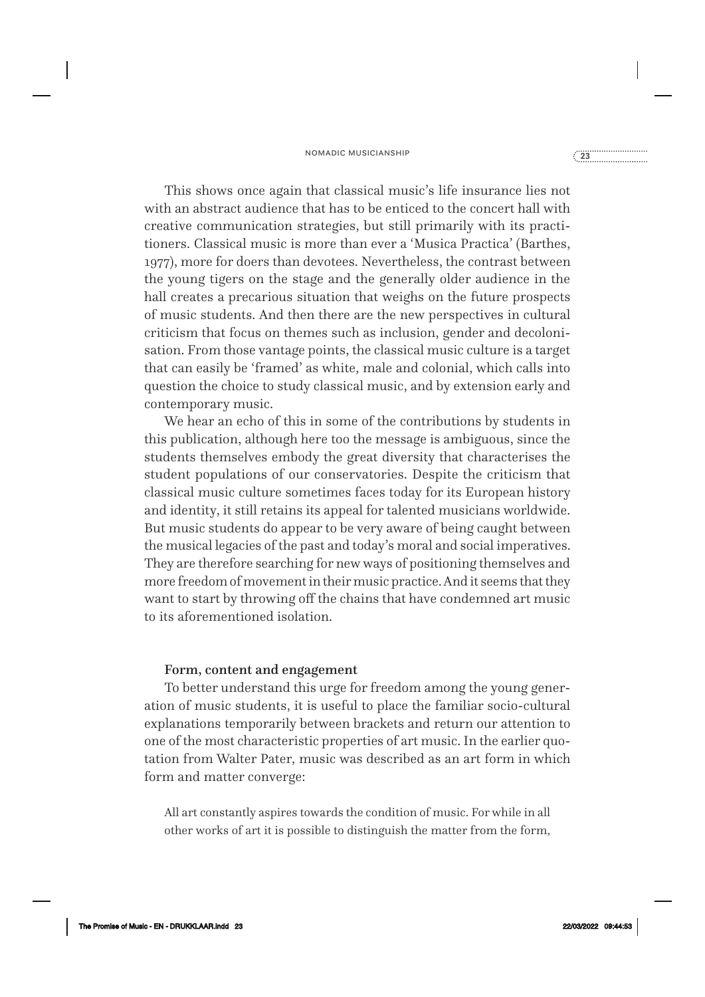#### nomadic musicianship<br> **23**<br>
23

This shows once again that classical music's life insurance lies not with an abstract audience that has to be enticed to the concert hall with creative communication strategies, but still primarily with its practitioners. Classical music is more than ever a 'Musica Practica' (Barthes, 1977), more for doers than devotees. Nevertheless, the contrast between the young tigers on the stage and the generally older audience in the hall creates a precarious situation that weighs on the future prospects of music students. And then there are the new perspectives in cultural criticism that focus on themes such as inclusion, gender and decolonisation. From those vantage points, the classical music culture is a target that can easily be 'framed' as white, male and colonial, which calls into question the choice to study classical music, and by extension early and contemporary music.

We hear an echo of this in some of the contributions by students in this publication, although here too the message is ambiguous, since the students themselves embody the great diversity that characterises the student populations of our conservatories. Despite the criticism that classical music culture sometimes faces today for its European history and identity, it still retains its appeal for talented musicians worldwide. But music students do appear to be very aware of being caught between the musical legacies of the past and today's moral and social imperatives. They are therefore searching for new ways of positioning themselves and more freedom of movement in their music practice. And it seems that they want to start by throwing off the chains that have condemned art music to its aforementioned isolation.

#### Form, content and engagement

To better understand this urge for freedom among the young generation of music students, it is useful to place the familiar socio- cultural explanations temporarily between brackets and return our attention to one of the most characteristic properties of art music. In the earlier quotation from Walter Pater, music was described as an art form in which form and matter converge:

All art constantly aspires towards the condition of music. For while in all other works of art it is possible to distinguish the matter from the form,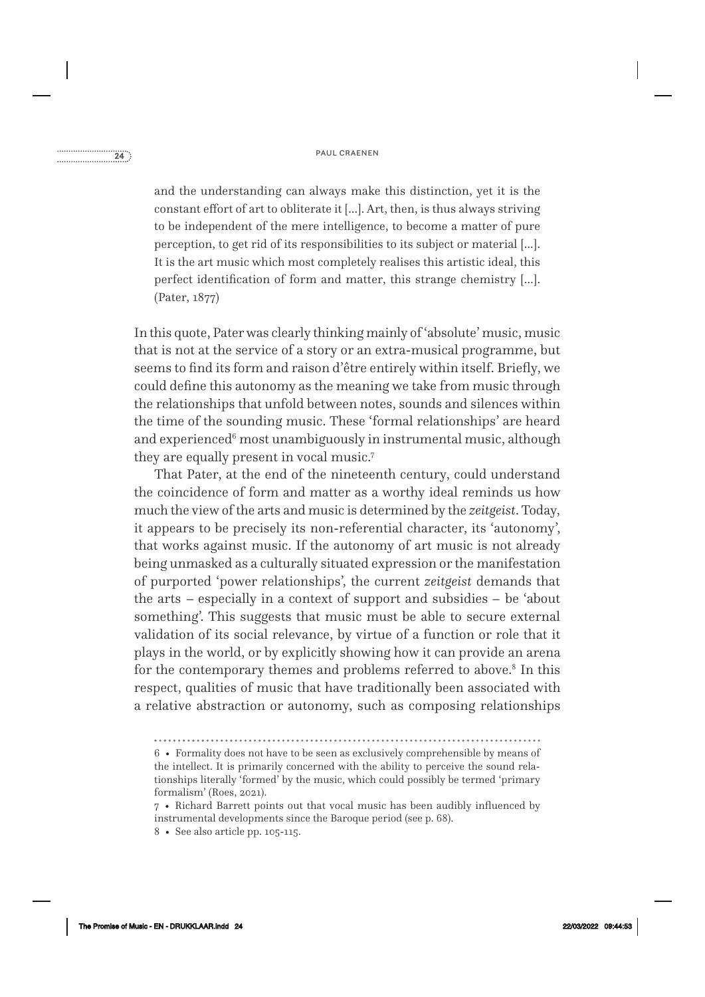## paul craenen **24**<br> **paul craenen 24**<br> **paul craenen and craenen and craenen paul craenen paul craenen and craenen and craenen paul craenen and craenen and craenen and craenen and craenen and craenen and craenen and craenen**

and the understanding can always make this distinction, yet it is the constant effort of art to obliterate it […]. Art, then, is thus always striving to be independent of the mere intelligence, to become a matter of pure perception, to get rid of its responsibilities to its subject or material […]. It is the art music which most completely realises this artistic ideal, this perfect identification of form and matter, this strange chemistry […]. (Pater, 1877)

In this quote, Pater was clearly thinking mainly of 'absolute' music, music that is not at the service of a story or an extra- musical programme, but seems to find its form and raison d'être entirely within itself. Briefly, we could define this autonomy as the meaning we take from music through the relationships that unfold between notes, sounds and silences within the time of the sounding music. These 'formal relationships' are heard and experienced $\rm ^6$  most unambiguously in instrumental music, although they are equally present in vocal music.7

That Pater, at the end of the nineteenth century, could understand the coincidence of form and matter as a worthy ideal reminds us how much the view of the arts and music is determined by the *zeitgeist*. Today, it appears to be precisely its non- referential character, its 'autonomy', that works against music. If the autonomy of art music is not already being unmasked as a culturally situated expression or the manifestation of purported 'power relationships', the current *zeitgeist* demands that the arts – especially in a context of support and subsidies – be 'about something'. This suggests that music must be able to secure external validation of its social relevance, by virtue of a function or role that it plays in the world, or by explicitly showing how it can provide an arena for the contemporary themes and problems referred to above.<sup>8</sup> In this respect, qualities of music that have traditionally been associated with a relative abstraction or autonomy, such as composing relationships

8 • See also article pp. 105-115.

<sup>6 •</sup> Formality does not have to be seen as exclusively comprehensible by means of the intellect. It is primarily concerned with the ability to perceive the sound relationships literally 'formed' by the music, which could possibly be termed 'primary formalism' (Roes, 2021).

<sup>7 •</sup> Richard Barrett points out that vocal music has been audibly influenced by instrumental developments since the Baroque period (see p. 68).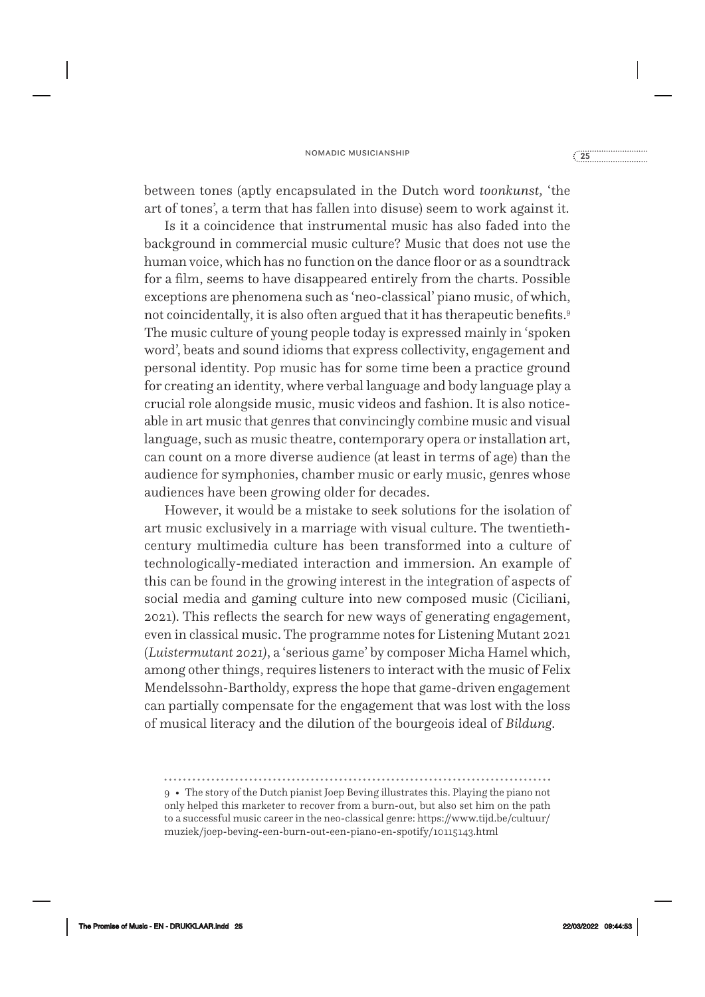### nomadic musicianship **<sup>25</sup>**

between tones (aptly encapsulated in the Dutch word *toonkunst,* 'the art of tones', a term that has fallen into disuse) seem to work against it.

Is it a coincidence that instrumental music has also faded into the background in commercial music culture? Music that does not use the human voice, which has no function on the dance floor or as a soundtrack for a film, seems to have disappeared entirely from the charts. Possible exceptions are phenomena such as 'neo- classical' piano music, of which, not coincidentally, it is also often argued that it has therapeutic benefits.<sup>9</sup> The music culture of young people today is expressed mainly in 'spoken word', beats and sound idioms that express collectivity, engagement and personal identity. Pop music has for some time been a practice ground for creating an identity, where verbal language and body language play a crucial role alongside music, music videos and fashion. It is also noticeable in art music that genres that convincingly combine music and visual language, such as music theatre, contemporary opera or installation art, can count on a more diverse audience (at least in terms of age) than the audience for symphonies, chamber music or early music, genres whose audiences have been growing older for decades.

However, it would be a mistake to seek solutions for the isolation of art music exclusively in a marriage with visual culture. The twentiethcentury multimedia culture has been transformed into a culture of technologically- mediated interaction and immersion. An example of this can be found in the growing interest in the integration of aspects of social media and gaming culture into new composed music (Ciciliani, 2021). This reflects the search for new ways of generating engagement, even in classical music. The programme notes for Listening Mutant 2021 (*Luistermutant 2021)*, a 'serious game' by composer Micha Hamel which, among other things, requires listeners to interact with the music of Felix Mendelssohn-Bartholdy, express the hope that game-driven engagement can partially compensate for the engagement that was lost with the loss of musical literacy and the dilution of the bourgeois ideal of *Bildung*.

The Promise of Music - EN - DRUKKLAAR.indd 25 22/03/2022 09:44:53

<sup>9 •</sup> The story of the Dutch pianist Joep Beving illustrates this. Playing the piano not only helped this marketer to recover from a burn- out, but also set him on the path to a successful music career in the neo- classical genre: https://www.tijd.be/cultuur/ muziek/joep- beving- een- burn- out- een- piano- en- spotify/10115143.html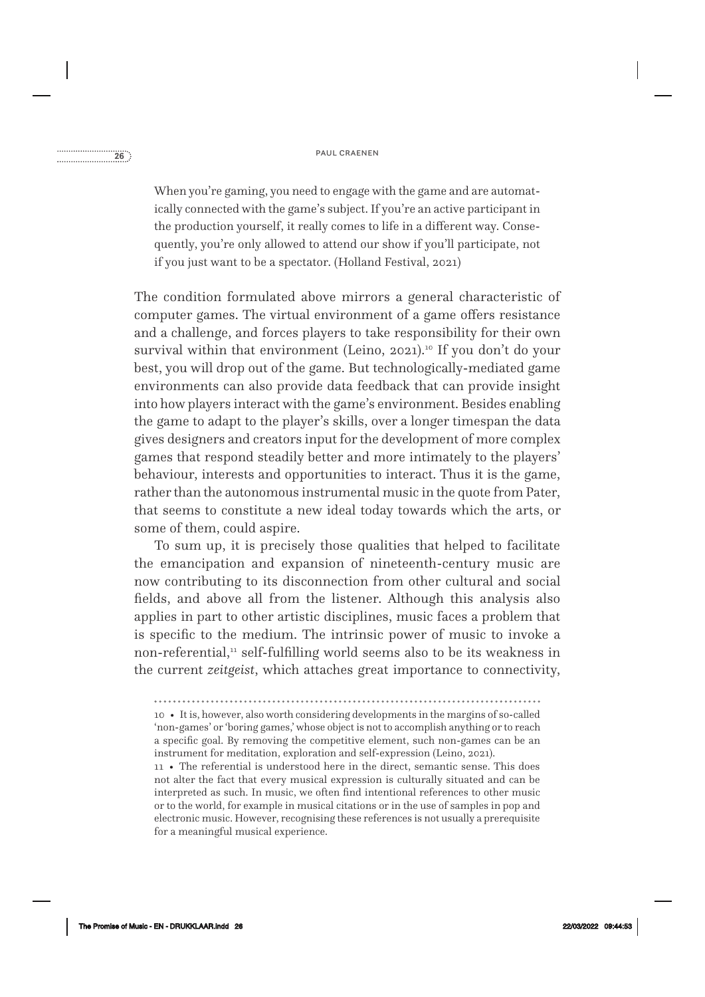When you're gaming, you need to engage with the game and are automatically connected with the game's subject. If you're an active participant in the production yourself, it really comes to life in a different way. Consequently, you're only allowed to attend our show if you'll participate, not if you just want to be a spectator. (Holland Festival, 2021)

The condition formulated above mirrors a general characteristic of computer games. The virtual environment of a game offers resistance and a challenge, and forces players to take responsibility for their own survival within that environment (Leino, 2021).<sup>10</sup> If you don't do your best, you will drop out of the game. But technologically- mediated game environments can also provide data feedback that can provide insight into how players interact with the game's environment. Besides enabling the game to adapt to the player's skills, over a longer timespan the data gives designers and creators input for the development of more complex games that respond steadily better and more intimately to the players' behaviour, interests and opportunities to interact. Thus it is the game, rather than the autonomous instrumental music in the quote from Pater, that seems to constitute a new ideal today towards which the arts, or some of them, could aspire.

To sum up, it is precisely those qualities that helped to facilitate the emancipation and expansion of nineteenth- century music are now contributing to its disconnection from other cultural and social fields, and above all from the listener. Although this analysis also applies in part to other artistic disciplines, music faces a problem that is specific to the medium. The intrinsic power of music to invoke a non-referential, $\mu$  self-fulfilling world seems also to be its weakness in the current *zeitgeist*, which attaches great importance to connectivity,

10 • It is, however, also worth considering developments in the margins of so- called 'non- games' or 'boring games,' whose object is not to accomplish anything or to reach a specific goal. By removing the competitive element, such non- games can be an instrument for meditation, exploration and self-expression (Leino, 2021).

11 • The referential is understood here in the direct, semantic sense. This does not alter the fact that every musical expression is culturally situated and can be interpreted as such. In music, we often find intentional references to other music or to the world, for example in musical citations or in the use of samples in pop and electronic music. However, recognising these references is not usually a prerequisite for a meaningful musical experience.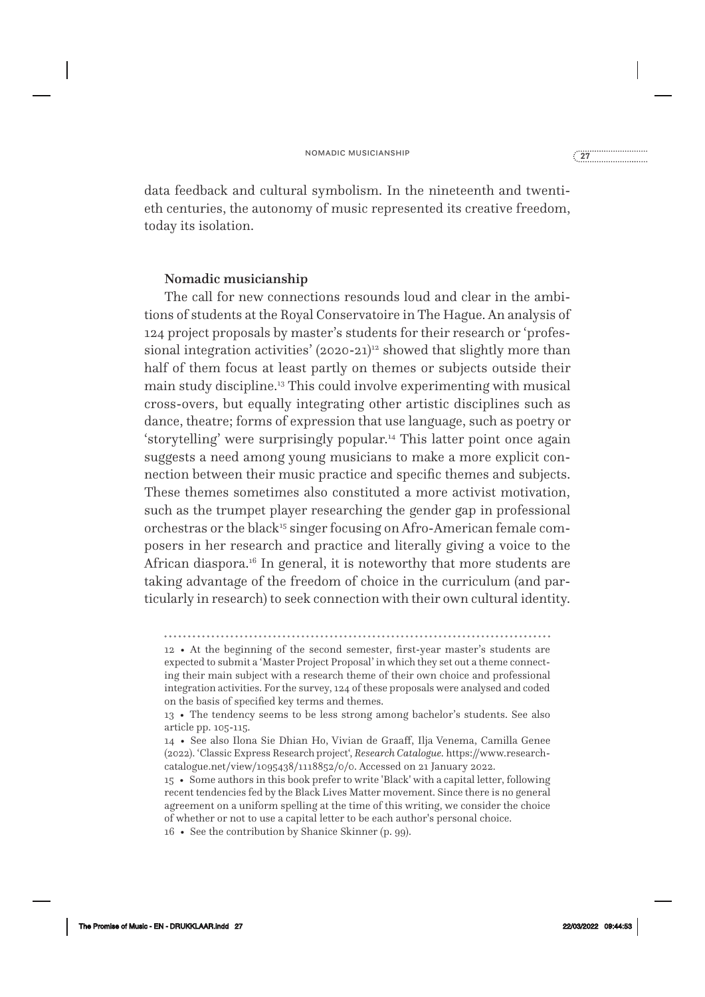data feedback and cultural symbolism. In the nineteenth and twentieth centuries, the autonomy of music represented its creative freedom, today its isolation.

#### Nomadic musicianship

The call for new connections resounds loud and clear in the ambitions of students at the Royal Conservatoire in The Hague. An analysis of 124 project proposals by master's students for their research or 'professional integration activities'  $(2020-21)^{12}$  showed that slightly more than half of them focus at least partly on themes or subjects outside their main study discipline.13 This could involve experimenting with musical cross- overs, but equally integrating other artistic disciplines such as dance, theatre; forms of expression that use language, such as poetry or 'storytelling' were surprisingly popular.14 This latter point once again suggests a need among young musicians to make a more explicit connection between their music practice and specific themes and subjects. These themes sometimes also constituted a more activist motivation, such as the trumpet player researching the gender gap in professional orchestras or the black<sup>15</sup> singer focusing on Afro-American female composers in her research and practice and literally giving a voice to the African diaspora.<sup>16</sup> In general, it is noteworthy that more students are taking advantage of the freedom of choice in the curriculum (and particularly in research) to seek connection with their own cultural identity.

12 • At the beginning of the second semester, first- year master's students are expected to submit a 'Master Project Proposal' in which they set out a theme connecting their main subject with a research theme of their own choice and professional integration activities. For the survey, 124 of these proposals were analysed and coded on the basis of specified key terms and themes.

<sup>13 •</sup> The tendency seems to be less strong among bachelor's students. See also article pp. 105-115.

<sup>14 •</sup> See also Ilona Sie Dhian Ho, Vivian de Graaff, Ilja Venema, Camilla Genee (2022). 'Classic Express Research project', *Research Catalogue.* https://www.researchcatalogue.net/view/1095438/1118852/0/0. Accessed on 21 January 2022.

<sup>15 •</sup> Some authors in this book prefer to write 'Black' with a capital letter, following recent tendencies fed by the Black Lives Matter movement. Since there is no general agreement on a uniform spelling at the time of this writing, we consider the choice of whether or not to use a capital letter to be each author's personal choice.

<sup>16 •</sup> See the contribution by Shanice Skinner (p. 99).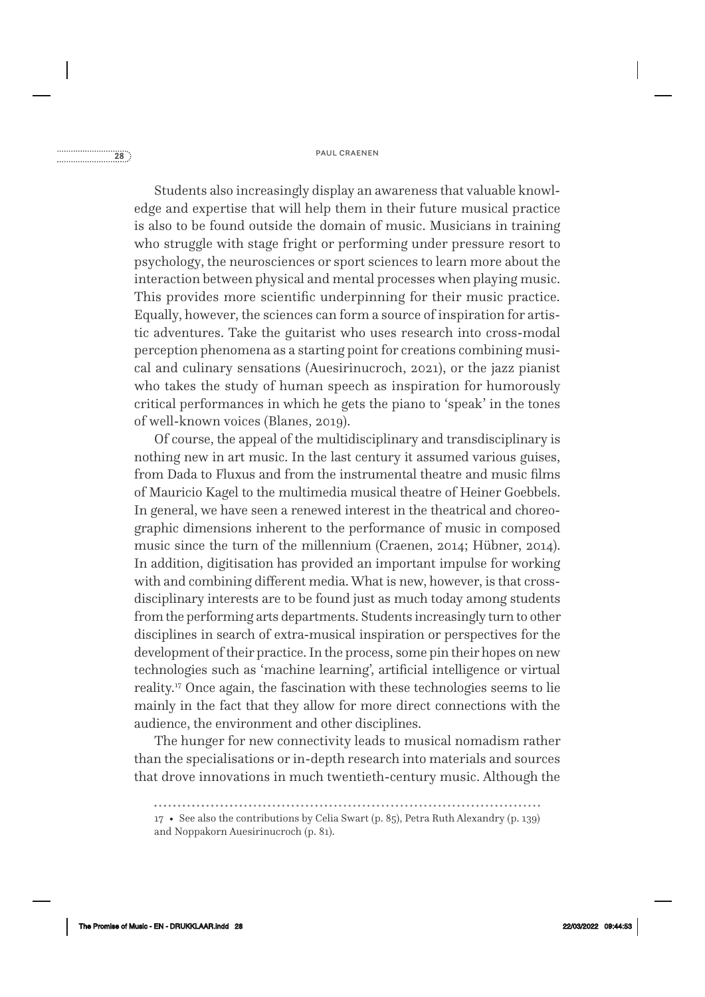## paul craenen **28**<br> **paul craenen 28**

Students also increasingly display an awareness that valuable knowledge and expertise that will help them in their future musical practice is also to be found outside the domain of music. Musicians in training who struggle with stage fright or performing under pressure resort to psychology, the neurosciences or sport sciences to learn more about the interaction between physical and mental processes when playing music. This provides more scientific underpinning for their music practice. Equally, however, the sciences can form a source of inspiration for artistic adventures. Take the guitarist who uses research into cross- modal perception phenomena as a starting point for creations combining musical and culinary sensations (Auesirinucroch, 2021), or the jazz pianist who takes the study of human speech as inspiration for humorously critical performances in which he gets the piano to 'speak' in the tones of well- known voices (Blanes, 2019).

Of course, the appeal of the multidisciplinary and transdisciplinary is nothing new in art music. In the last century it assumed various guises, from Dada to Fluxus and from the instrumental theatre and music films of Mauricio Kagel to the multimedia musical theatre of Heiner Goebbels. In general, we have seen a renewed interest in the theatrical and choreographic dimensions inherent to the performance of music in composed music since the turn of the millennium (Craenen, 2014; Hübner, 2014). In addition, digitisation has provided an important impulse for working with and combining different media. What is new, however, is that crossdisciplinary interests are to be found just as much today among students from the performing arts departments. Students increasingly turn to other disciplines in search of extra- musical inspiration or perspectives for the development of their practice. In the process, some pin their hopes on new technologies such as 'machine learning', artificial intelligence or virtual reality.<sup>17</sup> Once again, the fascination with these technologies seems to lie mainly in the fact that they allow for more direct connections with the audience, the environment and other disciplines.

The hunger for new connectivity leads to musical nomadism rather than the specialisations or in- depth research into materials and sources that drove innovations in much twentieth- century music. Although the

<sup>17 •</sup> See also the contributions by Celia Swart (p. 85), Petra Ruth Alexandry (p. 139) and Noppakorn Auesirinucroch (p. 81).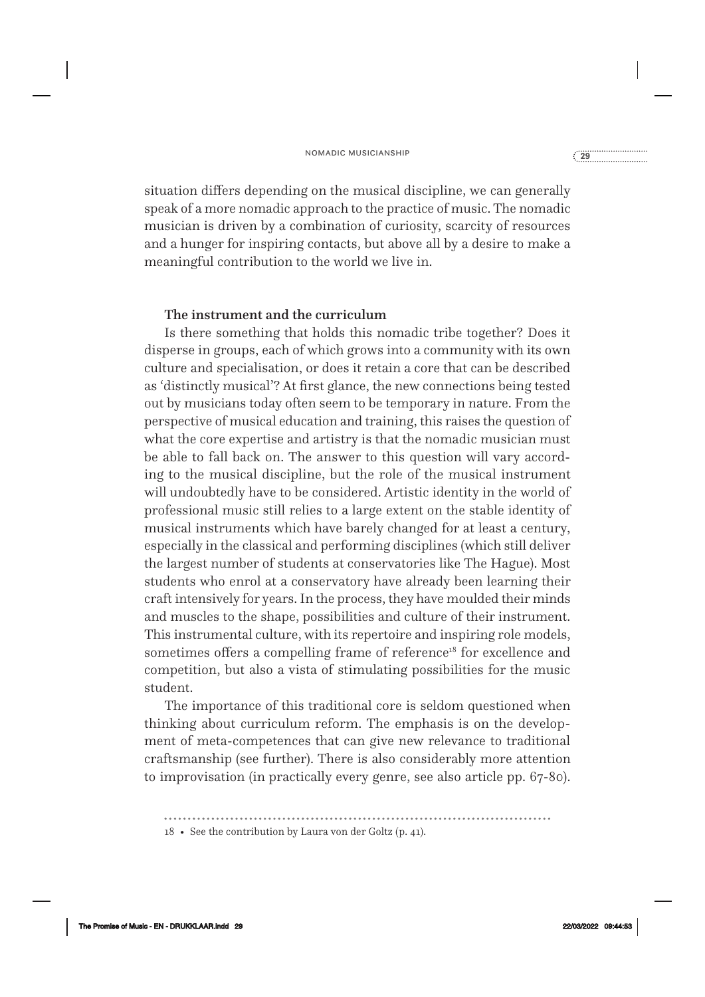situation differs depending on the musical discipline, we can generally speak of a more nomadic approach to the practice of music. The nomadic musician is driven by a combination of curiosity, scarcity of resources and a hunger for inspiring contacts, but above all by a desire to make a meaningful contribution to the world we live in.

#### The instrument and the curriculum

Is there something that holds this nomadic tribe together? Does it disperse in groups, each of which grows into a community with its own culture and specialisation, or does it retain a core that can be described as 'distinctly musical'? At first glance, the new connections being tested out by musicians today often seem to be temporary in nature. From the perspective of musical education and training, this raises the question of what the core expertise and artistry is that the nomadic musician must be able to fall back on. The answer to this question will vary according to the musical discipline, but the role of the musical instrument will undoubtedly have to be considered. Artistic identity in the world of professional music still relies to a large extent on the stable identity of musical instruments which have barely changed for at least a century, especially in the classical and performing disciplines (which still deliver the largest number of students at conservatories like The Hague). Most students who enrol at a conservatory have already been learning their craft intensively for years. In the process, they have moulded their minds and muscles to the shape, possibilities and culture of their instrument. This instrumental culture, with its repertoire and inspiring role models, sometimes offers a compelling frame of reference<sup>18</sup> for excellence and competition, but also a vista of stimulating possibilities for the music student.

The importance of this traditional core is seldom questioned when thinking about curriculum reform. The emphasis is on the development of meta-competences that can give new relevance to traditional craftsmanship (see further). There is also considerably more attention to improvisation (in practically every genre, see also article pp. 67-80).

<sup>18 •</sup> See the contribution by Laura von der Goltz (p. 41).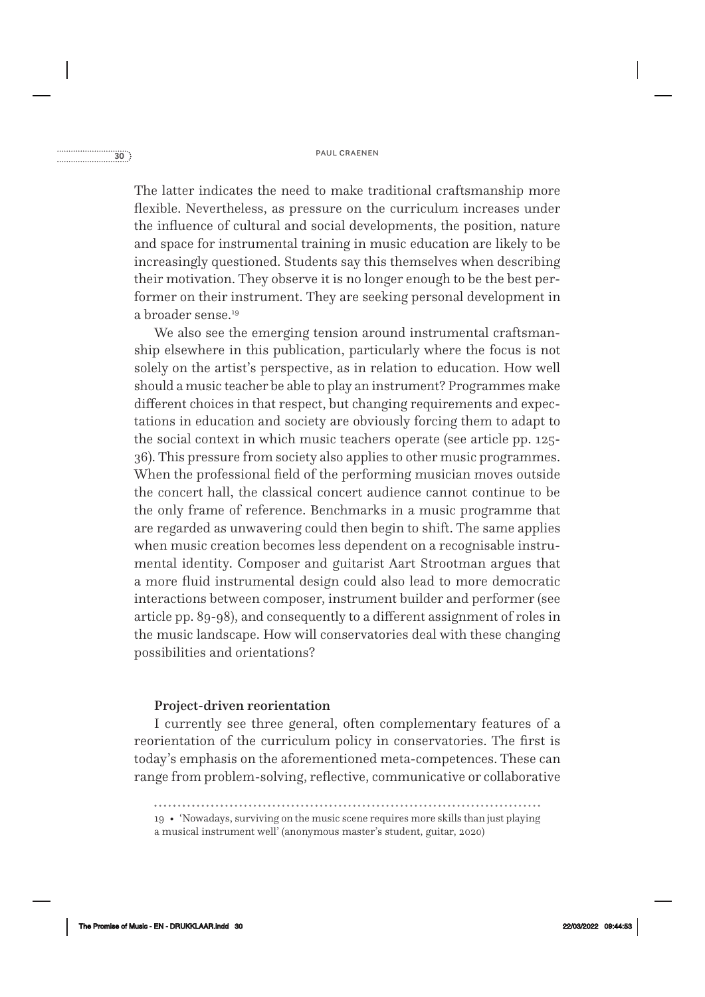### paul craenen **30**<br> **paul craenen 30**

The latter indicates the need to make traditional craftsmanship more flexible. Nevertheless, as pressure on the curriculum increases under the influence of cultural and social developments, the position, nature and space for instrumental training in music education are likely to be increasingly questioned. Students say this themselves when describing their motivation. They observe it is no longer enough to be the best performer on their instrument. They are seeking personal development in a broader sense.<sup>19</sup>

We also see the emerging tension around instrumental craftsmanship elsewhere in this publication, particularly where the focus is not solely on the artist's perspective, as in relation to education. How well should a music teacher be able to play an instrument? Programmes make different choices in that respect, but changing requirements and expectations in education and society are obviously forcing them to adapt to the social context in which music teachers operate (see article pp. 125- 36). This pressure from society also applies to other music programmes. When the professional field of the performing musician moves outside the concert hall, the classical concert audience cannot continue to be the only frame of reference. Benchmarks in a music programme that are regarded as unwavering could then begin to shift. The same applies when music creation becomes less dependent on a recognisable instrumental identity. Composer and guitarist Aart Strootman argues that a more fluid instrumental design could also lead to more democratic interactions between composer, instrument builder and performer (see article pp. 89-98), and consequently to a different assignment of roles in the music landscape. How will conservatories deal with these changing possibilities and orientations?

#### Project-driven reorientation

I currently see three general, often complementary features of a reorientation of the curriculum policy in conservatories. The first is today's emphasis on the aforementioned meta- competences. These can range from problem- solving, reflective, communicative or collaborative

<sup>19 • &#</sup>x27;Nowadays, surviving on the music scene requires more skills than just playing a musical instrument well' (anonymous master's student, guitar, 2020)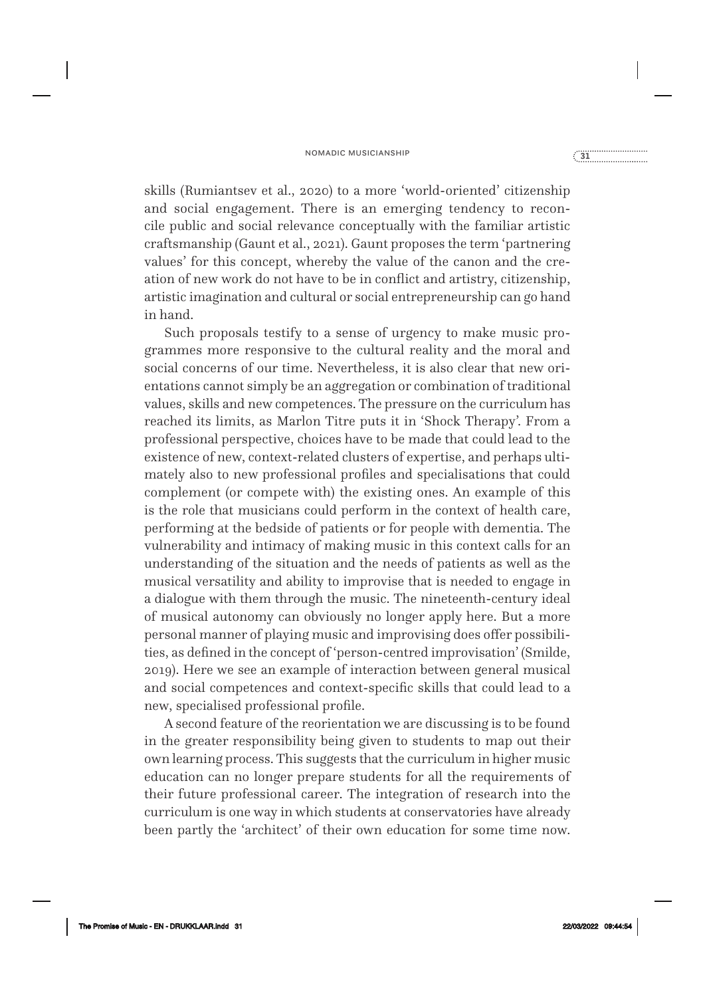### nomadic musicianship **<sup>31</sup>**

skills (Rumiantsev et al., 2020) to a more 'world- oriented' citizenship and social engagement. There is an emerging tendency to reconcile public and social relevance conceptually with the familiar artistic craftsmanship (Gaunt et al., 2021). Gaunt proposes the term 'partnering values' for this concept, whereby the value of the canon and the creation of new work do not have to be in conflict and artistry, citizenship, artistic imagination and cultural or social entrepreneurship can go hand in hand.

Such proposals testify to a sense of urgency to make music programmes more responsive to the cultural reality and the moral and social concerns of our time. Nevertheless, it is also clear that new orientations cannot simply be an aggregation or combination of traditional values, skills and new competences. The pressure on the curriculum has reached its limits, as Marlon Titre puts it in 'Shock Therapy'. From a professional perspective, choices have to be made that could lead to the existence of new, context- related clusters of expertise, and perhaps ultimately also to new professional profiles and specialisations that could complement (or compete with) the existing ones. An example of this is the role that musicians could perform in the context of health care, performing at the bedside of patients or for people with dementia. The vulnerability and intimacy of making music in this context calls for an understanding of the situation and the needs of patients as well as the musical versatility and ability to improvise that is needed to engage in a dialogue with them through the music. The nineteenth- century ideal of musical autonomy can obviously no longer apply here. But a more personal manner of playing music and improvising does offer possibilities, as defined in the concept of 'person- centred improvisation' (Smilde, 2019). Here we see an example of interaction between general musical and social competences and context- specific skills that could lead to a new, specialised professional profile.

A second feature of the reorientation we are discussing is to be found in the greater responsibility being given to students to map out their own learning process. This suggests that the curriculum in higher music education can no longer prepare students for all the requirements of their future professional career. The integration of research into the curriculum is one way in which students at conservatories have already been partly the 'architect' of their own education for some time now.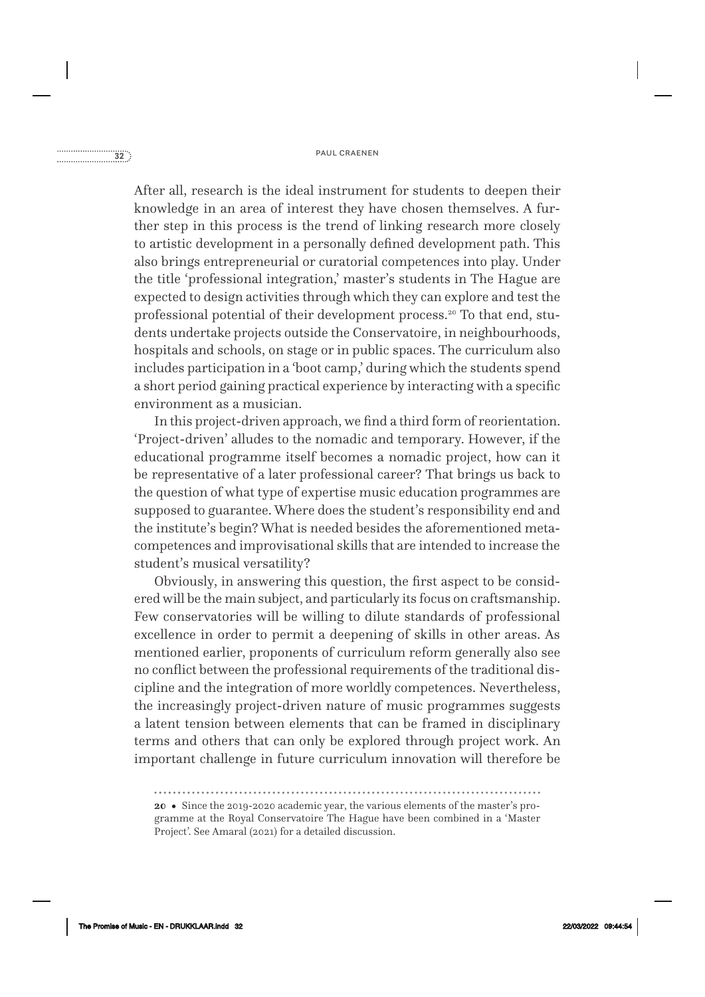### paul craenen **32**<br> **paul craenen 32**

After all, research is the ideal instrument for students to deepen their knowledge in an area of interest they have chosen themselves. A further step in this process is the trend of linking research more closely to artistic development in a personally defined development path. This also brings entrepreneurial or curatorial competences into play. Under the title 'professional integration,' master's students in The Hague are expected to design activities through which they can explore and test the professional potential of their development process.20 To that end, students undertake projects outside the Conservatoire, in neighbourhoods, hospitals and schools, on stage or in public spaces. The curriculum also includes participation in a 'boot camp,' during which the students spend a short period gaining practical experience by interacting with a specific environment as a musician.

In this project-driven approach, we find a third form of reorientation. 'Project- driven' alludes to the nomadic and temporary. However, if the educational programme itself becomes a nomadic project, how can it be representative of a later professional career? That brings us back to the question of what type of expertise music education programmes are supposed to guarantee. Where does the student's responsibility end and the institute's begin? What is needed besides the aforementioned metacompetences and improvisational skills that are intended to increase the student's musical versatility?

Obviously, in answering this question, the first aspect to be considered will be the main subject, and particularly its focus on craftsmanship. Few conservatories will be willing to dilute standards of professional excellence in order to permit a deepening of skills in other areas. As mentioned earlier, proponents of curriculum reform generally also see no conflict between the professional requirements of the traditional discipline and the integration of more worldly competences. Nevertheless, the increasingly project- driven nature of music programmes suggests a latent tension between elements that can be framed in disciplinary terms and others that can only be explored through project work. An important challenge in future curriculum innovation will therefore be

**20 •** Since the 2019-2020 academic year, the various elements of the master's programme at the Royal Conservatoire The Hague have been combined in a 'Master Project'. See Amaral (2021) for a detailed discussion.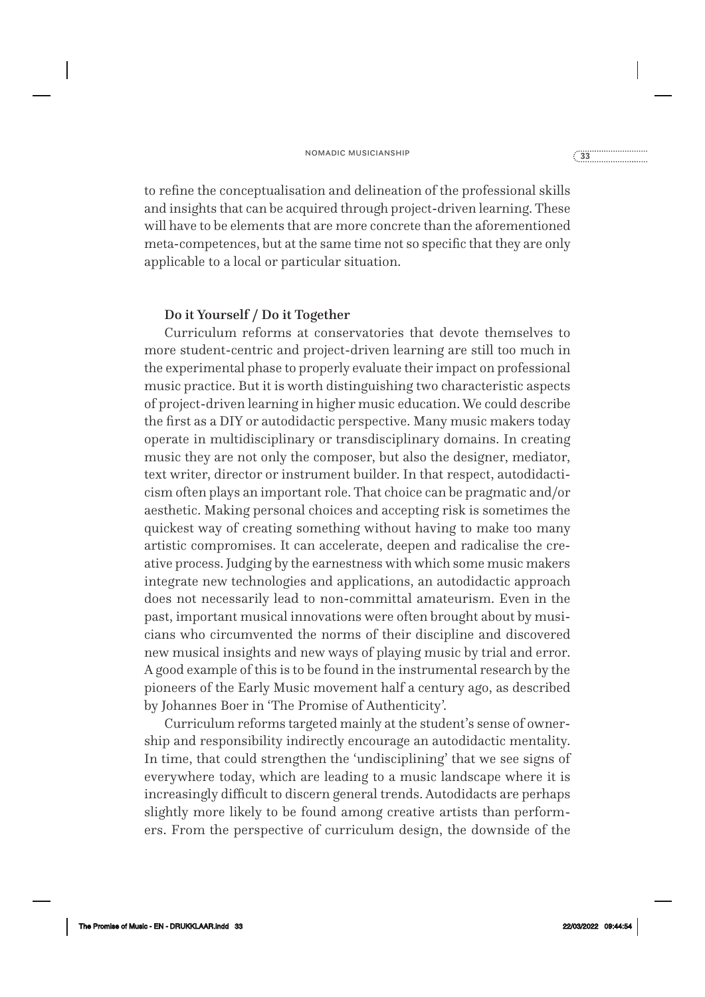to refine the conceptualisation and delineation of the professional skills and insights that can be acquired through project- driven learning. These will have to be elements that are more concrete than the aforementioned meta-competences, but at the same time not so specific that they are only applicable to a local or particular situation.

#### Do it Yourself / Do it Together

Curriculum reforms at conservatories that devote themselves to more student- centric and project- driven learning are still too much in the experimental phase to properly evaluate their impact on professional music practice. But it is worth distinguishing two characteristic aspects of project- driven learning in higher music education. We could describe the first as a DIY or autodidactic perspective. Many music makers today operate in multidisciplinary or transdisciplinary domains. In creating music they are not only the composer, but also the designer, mediator, text writer, director or instrument builder. In that respect, autodidacticism often plays an important role. That choice can be pragmatic and/or aesthetic. Making personal choices and accepting risk is sometimes the quickest way of creating something without having to make too many artistic compromises. It can accelerate, deepen and radicalise the creative process. Judging by the earnestness with which some music makers integrate new technologies and applications, an autodidactic approach does not necessarily lead to non- committal amateurism. Even in the past, important musical innovations were often brought about by musicians who circumvented the norms of their discipline and discovered new musical insights and new ways of playing music by trial and error. A good example of this is to be found in the instrumental research by the pioneers of the Early Music movement half a century ago, as described by Johannes Boer in 'The Promise of Authenticity'.

Curriculum reforms targeted mainly at the student's sense of ownership and responsibility indirectly encourage an autodidactic mentality. In time, that could strengthen the 'undisciplining' that we see signs of everywhere today, which are leading to a music landscape where it is increasingly difficult to discern general trends. Autodidacts are perhaps slightly more likely to be found among creative artists than performers. From the perspective of curriculum design, the downside of the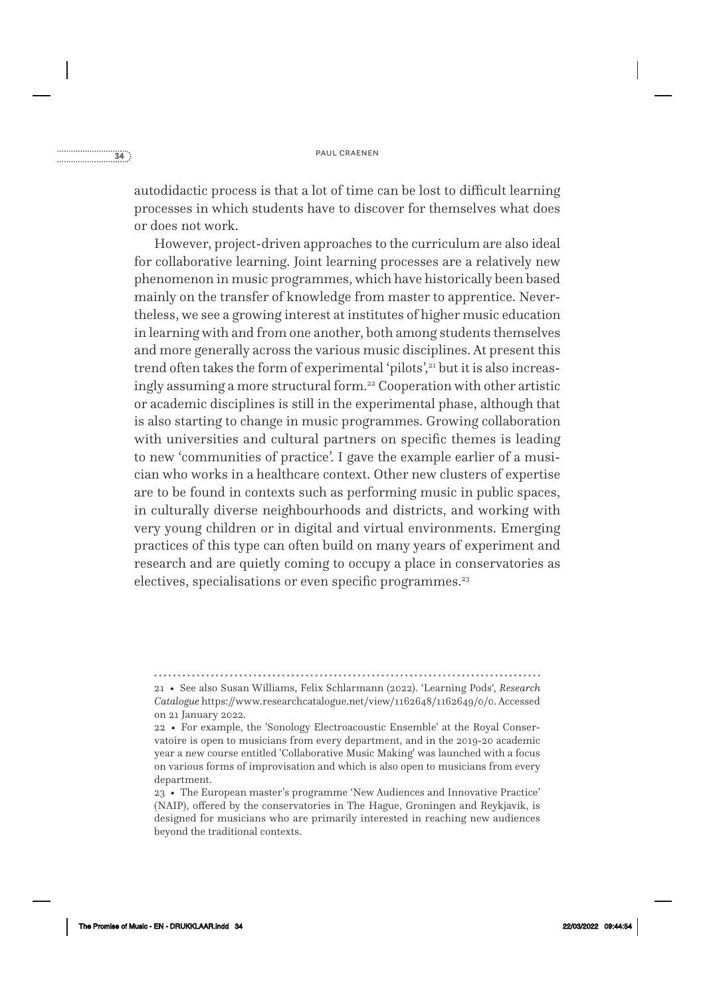autodidactic process is that a lot of time can be lost to difficult learning processes in which students have to discover for themselves what does or does not work.

However, project- driven approaches to the curriculum are also ideal for collaborative learning. Joint learning processes are a relatively new phenomenon in music programmes, which have historically been based mainly on the transfer of knowledge from master to apprentice. Nevertheless, we see a growing interest at institutes of higher music education in learning with and from one another, both among students themselves and more generally across the various music disciplines. At present this trend often takes the form of experimental 'pilots',<sup>21</sup> but it is also increasingly assuming a more structural form.<sup>22</sup> Cooperation with other artistic or academic disciplines is still in the experimental phase, although that is also starting to change in music programmes. Growing collaboration with universities and cultural partners on specific themes is leading to new 'communities of practice'. I gave the example earlier of a musician who works in a healthcare context. Other new clusters of expertise are to be found in contexts such as performing music in public spaces, in culturally diverse neighbourhoods and districts, and working with very young children or in digital and virtual environments. Emerging practices of this type can often build on many years of experiment and research and are quietly coming to occupy a place in conservatories as electives, specialisations or even specific programmes.<sup>23</sup>

<sup>21 •</sup> See also Susan Williams, Felix Schlarmann (2022). 'Learning Pods', *Research Catalogue* https://www.researchcatalogue.net/view/1162648/1162649/0/0. Accessed on 21 January 2022.

<sup>22 •</sup> For example, the 'Sonology Electroacoustic Ensemble' at the Royal Conservatoire is open to musicians from every department, and in the 2019-20 academic year a new course entitled 'Collaborative Music Making' was launched with a focus on various forms of improvisation and which is also open to musicians from every department.

<sup>23 •</sup> The European master's programme 'New Audiences and Innovative Practice' (NAIP), offered by the conservatories in The Hague, Groningen and Reykjavik, is designed for musicians who are primarily interested in reaching new audiences beyond the traditional contexts.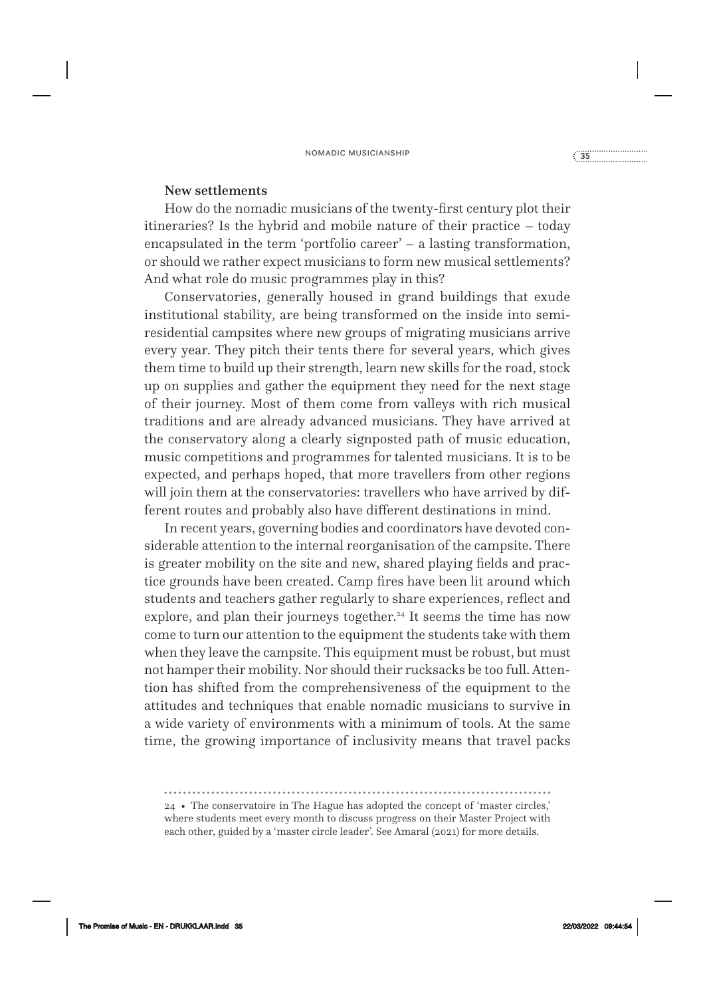#### New settlements

How do the nomadic musicians of the twenty- first century plot their itineraries? Is the hybrid and mobile nature of their practice – today encapsulated in the term 'portfolio career' – a lasting transformation, or should we rather expect musicians to form new musical settlements? And what role do music programmes play in this?

Conservatories, generally housed in grand buildings that exude institutional stability, are being transformed on the inside into semiresidential campsites where new groups of migrating musicians arrive every year. They pitch their tents there for several years, which gives them time to build up their strength, learn new skills for the road, stock up on supplies and gather the equipment they need for the next stage of their journey. Most of them come from valleys with rich musical traditions and are already advanced musicians. They have arrived at the conservatory along a clearly signposted path of music education, music competitions and programmes for talented musicians. It is to be expected, and perhaps hoped, that more travellers from other regions will join them at the conservatories: travellers who have arrived by different routes and probably also have different destinations in mind.

In recent years, governing bodies and coordinators have devoted considerable attention to the internal reorganisation of the campsite. There is greater mobility on the site and new, shared playing fields and practice grounds have been created. Camp fires have been lit around which students and teachers gather regularly to share experiences, reflect and explore, and plan their journeys together.<sup>24</sup> It seems the time has now come to turn our attention to the equipment the students take with them when they leave the campsite. This equipment must be robust, but must not hamper their mobility. Nor should their rucksacks be too full. Attention has shifted from the comprehensiveness of the equipment to the attitudes and techniques that enable nomadic musicians to survive in a wide variety of environments with a minimum of tools. At the same time, the growing importance of inclusivity means that travel packs

24 • The conservatoire in The Hague has adopted the concept of 'master circles,' where students meet every month to discuss progress on their Master Project with each other, guided by a 'master circle leader'. See Amaral (2021) for more details.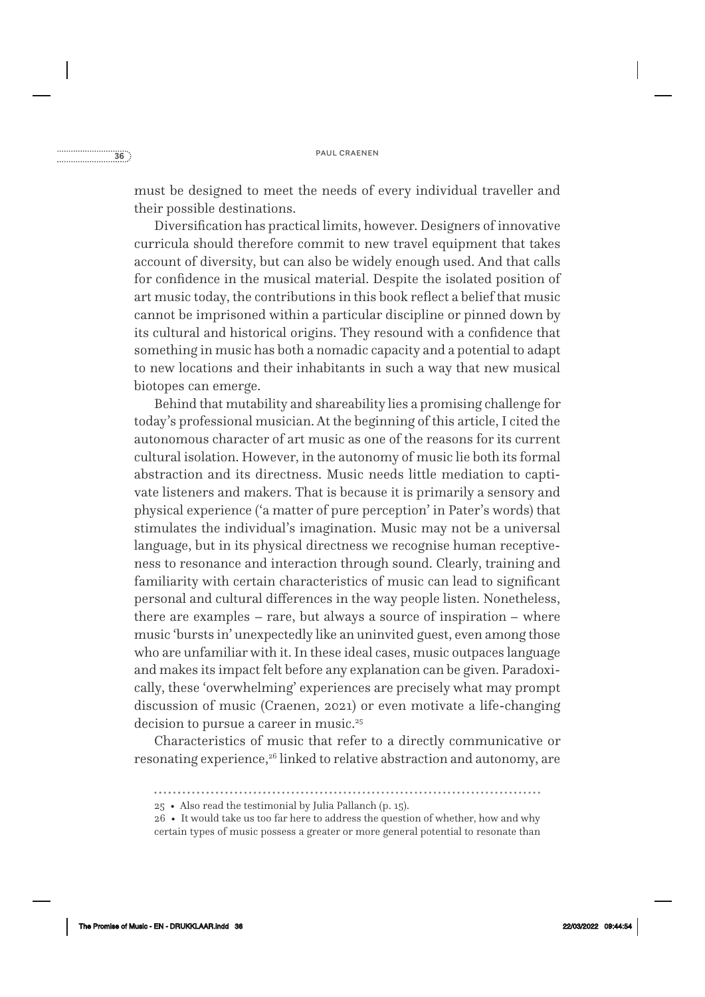must be designed to meet the needs of every individual traveller and their possible destinations.

Diversification has practical limits, however. Designers of innovative curricula should therefore commit to new travel equipment that takes account of diversity, but can also be widely enough used. And that calls for confidence in the musical material. Despite the isolated position of art music today, the contributions in this book reflect a belief that music cannot be imprisoned within a particular discipline or pinned down by its cultural and historical origins. They resound with a confidence that something in music has both a nomadic capacity and a potential to adapt to new locations and their inhabitants in such a way that new musical biotopes can emerge.

Behind that mutability and shareability lies a promising challenge for today's professional musician. At the beginning of this article, I cited the autonomous character of art music as one of the reasons for its current cultural isolation. However, in the autonomy of music lie both its formal abstraction and its directness. Music needs little mediation to captivate listeners and makers. That is because it is primarily a sensory and physical experience ('a matter of pure perception' in Pater's words) that stimulates the individual's imagination. Music may not be a universal language, but in its physical directness we recognise human receptiveness to resonance and interaction through sound. Clearly, training and familiarity with certain characteristics of music can lead to significant personal and cultural differences in the way people listen. Nonetheless, there are examples – rare, but always a source of inspiration – where music 'bursts in' unexpectedly like an uninvited guest, even among those who are unfamiliar with it. In these ideal cases, music outpaces language and makes its impact felt before any explanation can be given. Paradoxically, these 'overwhelming' experiences are precisely what may prompt discussion of music (Craenen, 2021) or even motivate a life-changing decision to pursue a career in music.<sup>25</sup>

Characteristics of music that refer to a directly communicative or resonating experience,<sup>26</sup> linked to relative abstraction and autonomy, are

<sup>25 •</sup> Also read the testimonial by Julia Pallanch (p. 15).

<sup>26 •</sup> It would take us too far here to address the question of whether, how and why certain types of music possess a greater or more general potential to resonate than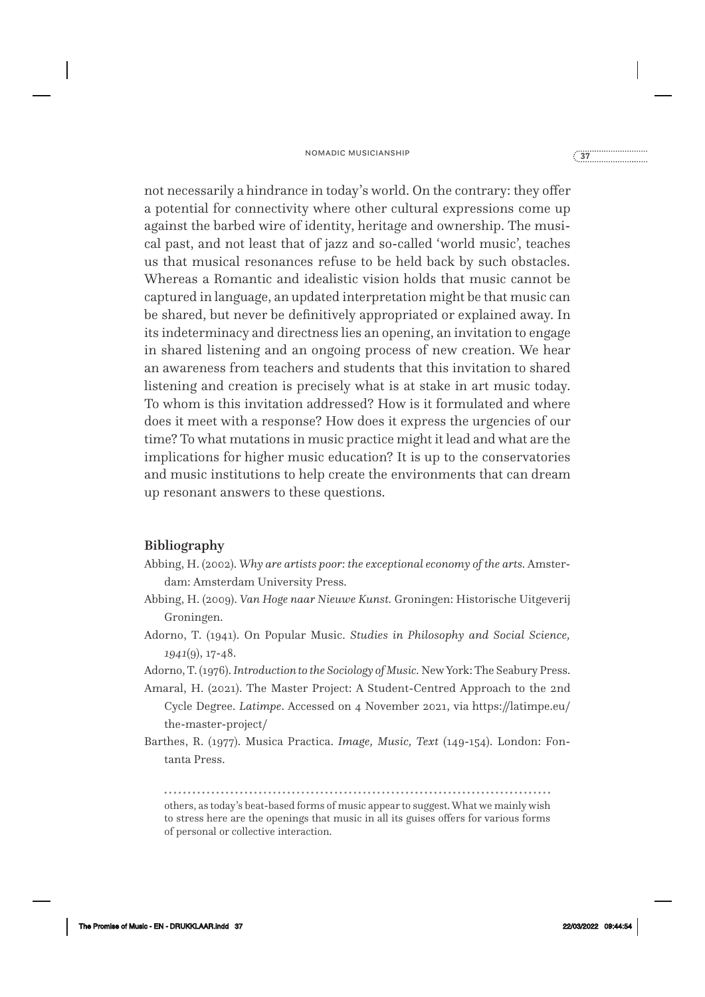### nomadic musicianship<br> **37**<sup>2</sup><br> **37**<sup>2</sup><br> **37**<sup>2</sup>

not necessarily a hindrance in today's world. On the contrary: they offer a potential for connectivity where other cultural expressions come up against the barbed wire of identity, heritage and ownership. The musical past, and not least that of jazz and so- called 'world music', teaches us that musical resonances refuse to be held back by such obstacles. Whereas a Romantic and idealistic vision holds that music cannot be captured in language, an updated interpretation might be that music can be shared, but never be definitively appropriated or explained away. In its indeterminacy and directness lies an opening, an invitation to engage in shared listening and an ongoing process of new creation. We hear an awareness from teachers and students that this invitation to shared listening and creation is precisely what is at stake in art music today. To whom is this invitation addressed? How is it formulated and where does it meet with a response? How does it express the urgencies of our time? To what mutations in music practice might it lead and what are the implications for higher music education? It is up to the conservatories and music institutions to help create the environments that can dream up resonant answers to these questions.

#### Bibliography

- Abbing, H. (2002). *Why are artists poor: the exceptional economy of the arts.* Amsterdam: Amsterdam University Press.
- Abbing, H. (2009). *Van Hoge naar Nieuwe Kunst.* Groningen: Historische Uitgeverij Groningen.
- Adorno, T. (1941). On Popular Music. *Studies in Philosophy and Social Science, 1941*(9), 17-48.
- Adorno, T. (1976). *Introduction to the Sociology of Music.* New York: The Seabury Press.
- Amaral, H. (2021). The Master Project: A Student- Centred Approach to the 2nd Cycle Degree. *Latimpe*. Accessed on 4 November 2021, via https://latimpe.eu/ the- master- project/
- Barthes, R. (1977). Musica Practica. *Image, Music, Text* (149-154). London: Fontanta Press.

others, as today's beat- based forms of music appear to suggest. What we mainly wish to stress here are the openings that music in all its guises offers for various forms of personal or collective interaction.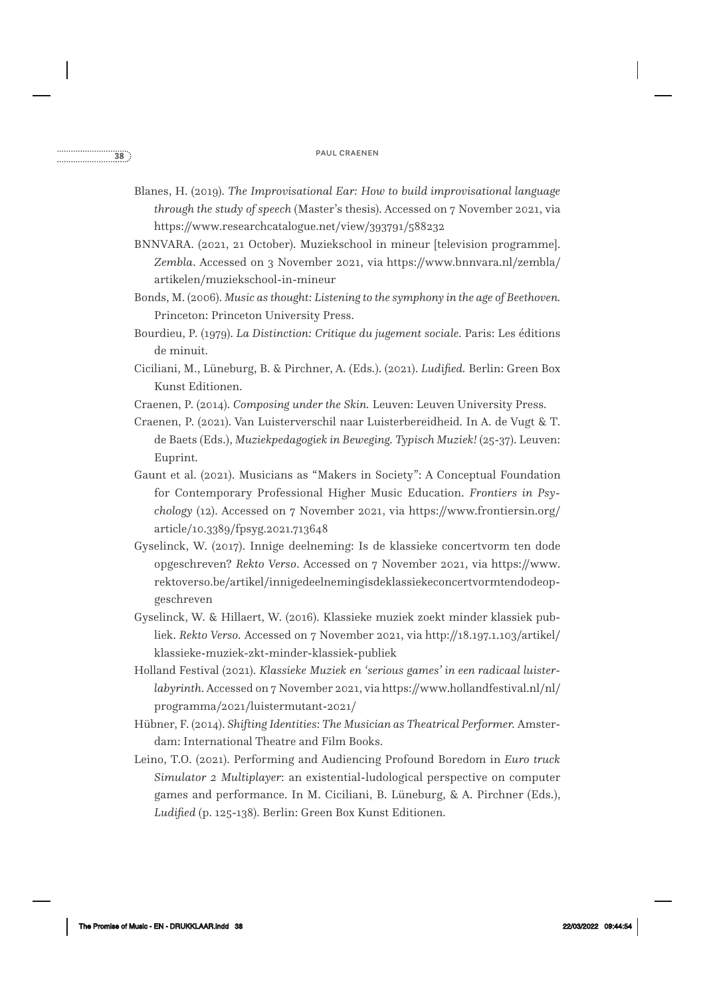- Blanes, H. (2019). *The Improvisational Ear: How to build improvisational language through the study of speech* (Master's thesis). Accessed on 7 November 2021, via https://www.researchcatalogue.net/view/393791/588232
- BNNVARA. (2021, 21 October). Muziekschool in mineur [television programme]. *Zembla*. Accessed on 3 November 2021, via https://www.bnnvara.nl/zembla/ artikelen/muziekschool-in-mineur
- Bonds, M. (2006). *Music as thought: Listening to the symphony in the age of Beethoven.*  Princeton: Princeton University Press.
- Bourdieu, P. (1979). *La Distinction: Critique du jugement sociale.* Paris: Les éditions de minuit.
- Ciciliani, M., Lüneburg, B. & Pirchner, A. (Eds.). (2021). *Ludified.* Berlin: Green Box Kunst Editionen.
- Craenen, P. (2014). *Composing under the Skin.* Leuven: Leuven University Press.
- Craenen, P. (2021). Van Luisterverschil naar Luisterbereidheid. In A. de Vugt & T. de Baets (Eds.), *Muziekpedagogiek in Beweging. Typisch Muziek!* (25-37). Leuven: Euprint.
- Gaunt et al. (2021). Musicians as "Makers in Society": A Conceptual Foundation for Contemporary Professional Higher Music Education. *Frontiers in Psychology* (12). Accessed on 7 November 2021, via https://www.frontiersin.org/ article/10.3389/fpsyg.2021.713648
- Gyselinck, W. (2017). Innige deelneming: Is de klassieke concertvorm ten dode opgeschreven? *Rekto Verso*. Accessed on 7 November 2021, via https://www. rektoverso.be/artikel/innigedeelnemingisdeklassiekeconcertvormtendodeopgeschreven
- Gyselinck, W. & Hillaert, W. (2016). Klassieke muziek zoekt minder klassiek publiek. *Rekto Verso.* Accessed on 7 November 2021, via http://18.197.1.103/artikel/ klassieke- muziek- zkt- minder- klassiek- publiek
- Holland Festival (2021). *Klassieke Muziek en 'serious games' in een radicaal luisterlabyrinth*. Accessed on 7 November 2021, via https://www.hollandfestival.nl/nl/ programma/2021/luistermutant-2021/
- Hübner, F. (2014). *Shifting Identities: The Musician as Theatrical Performer.* Amsterdam: International Theatre and Film Books.
- Leino, T.O. (2021). Performing and Audiencing Profound Boredom in *Euro truck Simulator 2 Multiplayer*: an existential- ludological perspective on computer games and performance. In M. Ciciliani, B. Lüneburg, & A. Pirchner (Eds.), *Ludified* (p. 125-138). Berlin: Green Box Kunst Editionen.